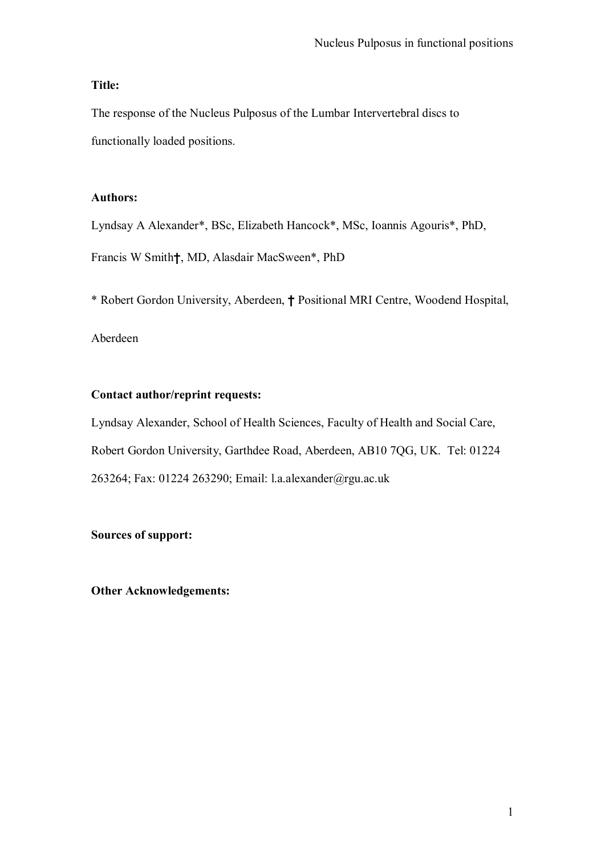# **Title:**

The response of the Nucleus Pulposus of the Lumbar Intervertebral discs to functionally loaded positions.

## **Authors:**

Lyndsay A Alexander\*, BSc, Elizabeth Hancock\*, MSc, Ioannis Agouris\*, PhD, Francis W Smith†, MD, Alasdair MacSween\*, PhD

\* Robert Gordon University, Aberdeen, † Positional MRI Centre, Woodend Hospital,

# Aberdeen

# **Contact author/reprint requests:**

Lyndsay Alexander, School of Health Sciences, Faculty of Health and Social Care, Robert Gordon University, Garthdee Road, Aberdeen, AB10 7QG, UK. Tel: 01224 263264; Fax: 01224 263290; Email: l.a.alexander@rgu.ac.uk

## **Sources of support:**

**Other Acknowledgements:**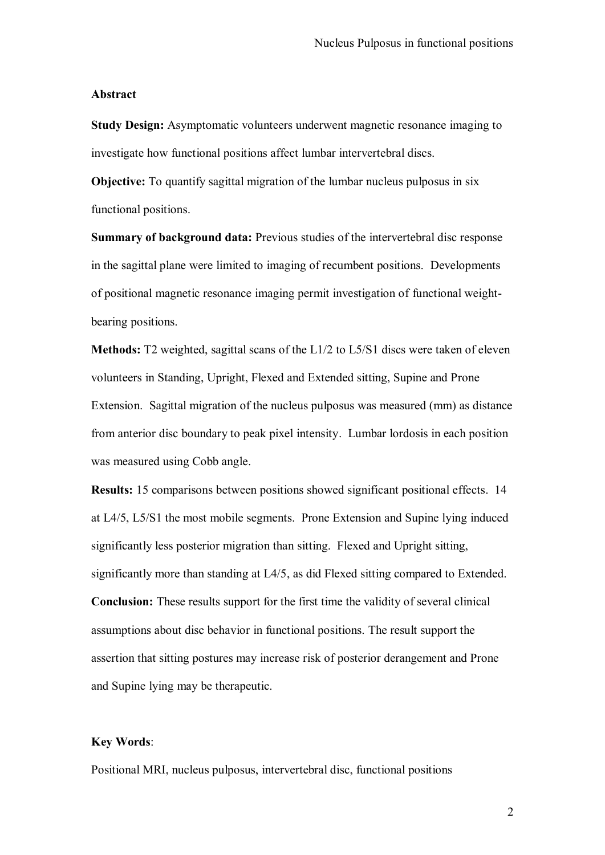### **Abstract**

**Study Design:** Asymptomatic volunteers underwent magnetic resonance imaging to investigate how functional positions affect lumbar intervertebral discs.

**Objective:** To quantify sagittal migration of the lumbar nucleus pulposus in six functional positions.

**Summary of background data:** Previous studies of the intervertebral disc response in the sagittal plane were limited to imaging of recumbent positions. Developments of positional magnetic resonance imaging permit investigation of functional weightbearing positions.

**Methods:** T2 weighted, sagittal scans of the L1/2 to L5/S1 discs were taken of eleven volunteers in Standing, Upright, Flexed and Extended sitting, Supine and Prone Extension. Sagittal migration of the nucleus pulposus was measured (mm) as distance from anterior disc boundary to peak pixel intensity. Lumbar lordosis in each position was measured using Cobb angle.

**Results:** 15 comparisons between positions showed significant positional effects. 14 at L4/5, L5/S1 the most mobile segments. Prone Extension and Supine lying induced significantly less posterior migration than sitting. Flexed and Upright sitting, significantly more than standing at L4/5, as did Flexed sitting compared to Extended. **Conclusion:** These results support for the first time the validity of several clinical assumptions about disc behavior in functional positions. The result support the assertion that sitting postures may increase risk of posterior derangement and Prone and Supine lying may be therapeutic.

## **Key Words**:

Positional MRI, nucleus pulposus, intervertebral disc, functional positions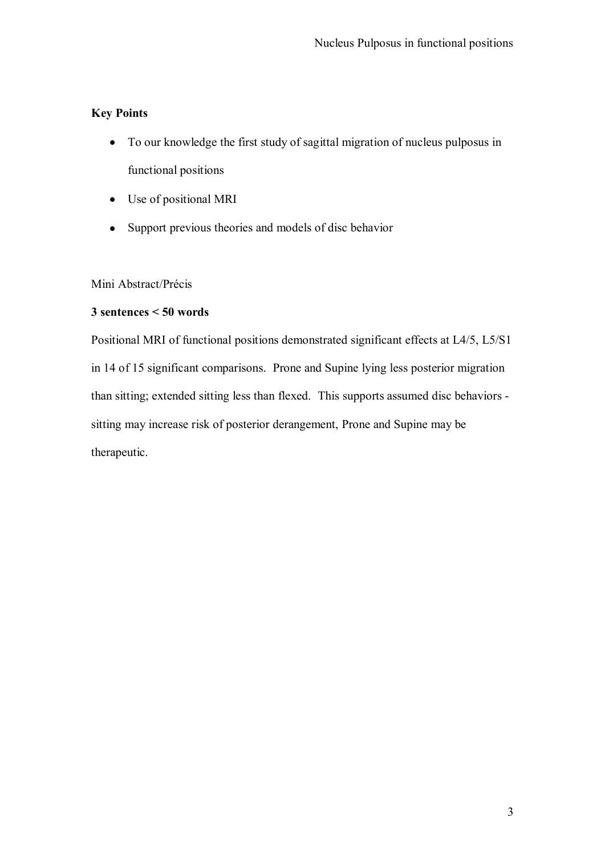# **Key Points**

- To our knowledge the first study of sagittal migration of nucleus pulposus in functional positions
- Use of positional MRI
- Support previous theories and models of disc behavior

Mini Abstract/Précis

# **3 sentences < 50 words**

Positional MRI of functional positions demonstrated significant effects at L4/5, L5/S1 in 14 of 15 significant comparisons. Prone and Supine lying less posterior migration than sitting; extended sitting less than flexed. This supports assumed disc behaviors sitting may increase risk of posterior derangement, Prone and Supine may be therapeutic.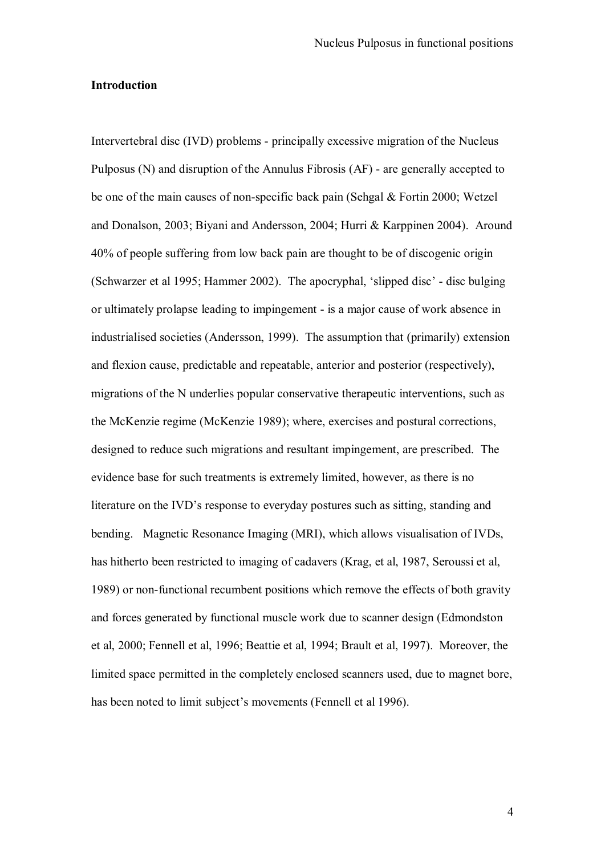### **Introduction**

Intervertebral disc (IVD) problems - principally excessive migration of the Nucleus Pulposus (N) and disruption of the Annulus Fibrosis (AF) - are generally accepted to be one of the main causes of non-specific back pain (Sehgal & Fortin 2000; Wetzel and Donalson, 2003; Biyani and Andersson, 2004; Hurri & Karppinen 2004). Around 40% of people suffering from low back pain are thought to be of discogenic origin (Schwarzer et al 1995; Hammer 2002). The apocryphal, "slipped disc" - disc bulging or ultimately prolapse leading to impingement - is a major cause of work absence in industrialised societies (Andersson, 1999). The assumption that (primarily) extension and flexion cause, predictable and repeatable, anterior and posterior (respectively), migrations of the N underlies popular conservative therapeutic interventions, such as the McKenzie regime (McKenzie 1989); where, exercises and postural corrections, designed to reduce such migrations and resultant impingement, are prescribed. The evidence base for such treatments is extremely limited, however, as there is no literature on the IVD"s response to everyday postures such as sitting, standing and bending. Magnetic Resonance Imaging (MRI), which allows visualisation of IVDs, has hitherto been restricted to imaging of cadavers (Krag, et al, 1987, Seroussi et al, 1989) or non-functional recumbent positions which remove the effects of both gravity and forces generated by functional muscle work due to scanner design (Edmondston et al, 2000; Fennell et al, 1996; Beattie et al, 1994; Brault et al, 1997). Moreover, the limited space permitted in the completely enclosed scanners used, due to magnet bore, has been noted to limit subject's movements (Fennell et al 1996).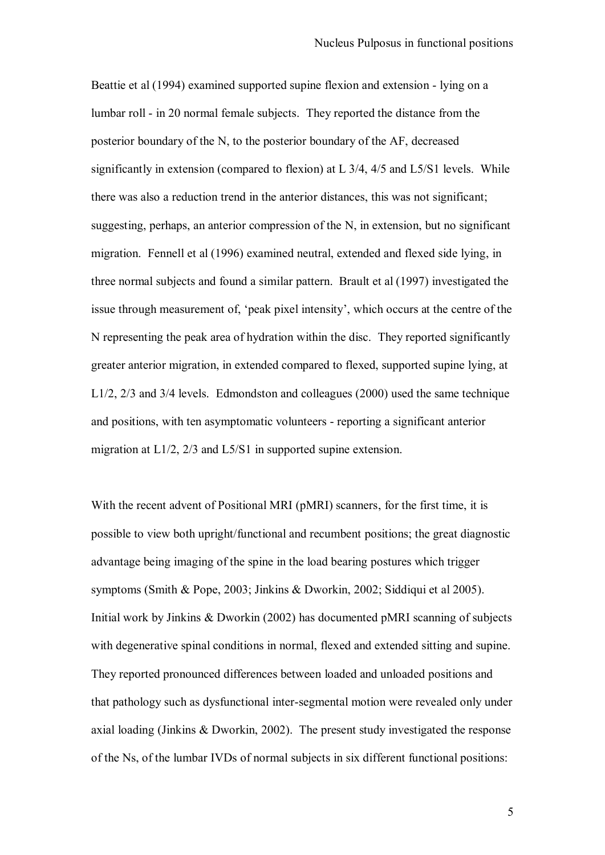Beattie et al (1994) examined supported supine flexion and extension - lying on a lumbar roll - in 20 normal female subjects. They reported the distance from the posterior boundary of the N, to the posterior boundary of the AF, decreased significantly in extension (compared to flexion) at L 3/4, 4/5 and L5/S1 levels. While there was also a reduction trend in the anterior distances, this was not significant; suggesting, perhaps, an anterior compression of the N, in extension, but no significant migration. Fennell et al (1996) examined neutral, extended and flexed side lying, in three normal subjects and found a similar pattern. Brault et al (1997) investigated the issue through measurement of, "peak pixel intensity", which occurs at the centre of the N representing the peak area of hydration within the disc. They reported significantly greater anterior migration, in extended compared to flexed, supported supine lying, at L1/2, 2/3 and 3/4 levels.Edmondston and colleagues (2000) used the same technique and positions, with ten asymptomatic volunteers - reporting a significant anterior migration at L1/2, 2/3 and L5/S1 in supported supine extension.

With the recent advent of Positional MRI (pMRI) scanners, for the first time, it is possible to view both upright/functional and recumbent positions; the great diagnostic advantage being imaging of the spine in the load bearing postures which trigger symptoms (Smith & Pope, 2003; Jinkins & Dworkin, 2002; Siddiqui et al 2005). Initial work by Jinkins & Dworkin (2002) has documented pMRI scanning of subjects with degenerative spinal conditions in normal, flexed and extended sitting and supine. They reported pronounced differences between loaded and unloaded positions and that pathology such as dysfunctional inter-segmental motion were revealed only under axial loading (Jinkins & Dworkin, 2002). The present study investigated the response of the Ns, of the lumbar IVDs of normal subjects in six different functional positions: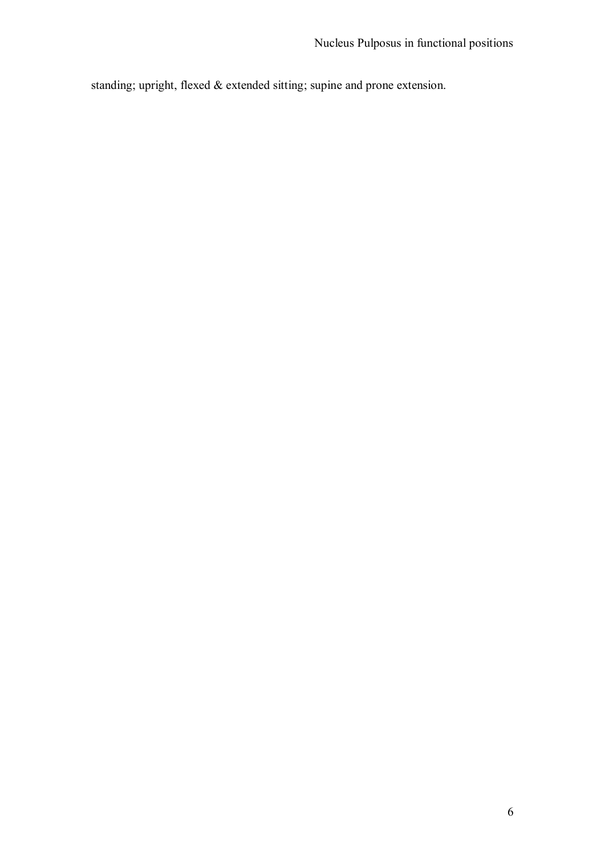standing; upright, flexed & extended sitting; supine and prone extension.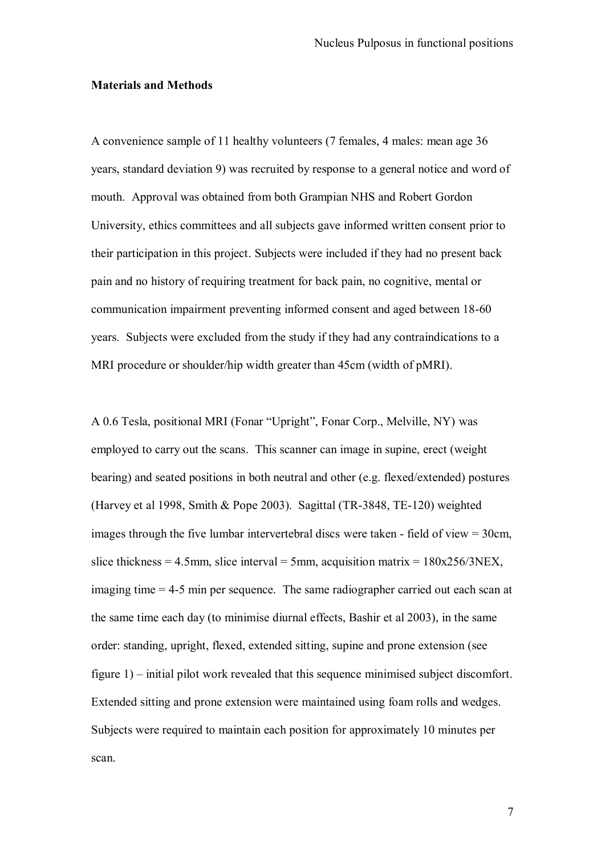### **Materials and Methods**

A convenience sample of 11 healthy volunteers (7 females, 4 males: mean age 36 years, standard deviation 9) was recruited by response to a general notice and word of mouth. Approval was obtained from both Grampian NHS and Robert Gordon University, ethics committees and all subjects gave informed written consent prior to their participation in this project. Subjects were included if they had no present back pain and no history of requiring treatment for back pain, no cognitive, mental or communication impairment preventing informed consent and aged between 18-60 years. Subjects were excluded from the study if they had any contraindications to a MRI procedure or shoulder/hip width greater than 45cm (width of pMRI).

A 0.6 Tesla, positional MRI (Fonar "Upright", Fonar Corp., Melville, NY) was employed to carry out the scans. This scanner can image in supine, erect (weight bearing) and seated positions in both neutral and other (e.g. flexed/extended) postures (Harvey et al 1998, Smith & Pope 2003). Sagittal (TR-3848, TE-120) weighted images through the five lumbar intervertebral discs were taken - field of view = 30cm, slice thickness = 4.5mm, slice interval = 5mm, acquisition matrix =  $180x256/3NEX$ , imaging time = 4-5 min per sequence. The same radiographer carried out each scan at the same time each day (to minimise diurnal effects, Bashir et al 2003), in the same order: standing, upright, flexed, extended sitting, supine and prone extension (see figure 1) – initial pilot work revealed that this sequence minimised subject discomfort. Extended sitting and prone extension were maintained using foam rolls and wedges. Subjects were required to maintain each position for approximately 10 minutes per scan.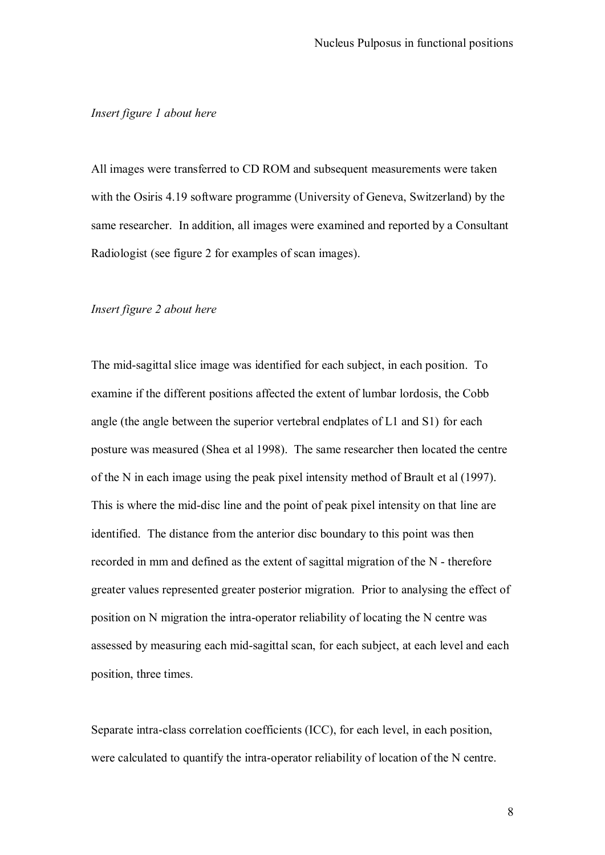## *Insert figure 1 about here*

All images were transferred to CD ROM and subsequent measurements were taken with the Osiris 4.19 software programme (University of Geneva, Switzerland) by the same researcher. In addition, all images were examined and reported by a Consultant Radiologist (see figure 2 for examples of scan images).

### *Insert figure 2 about here*

The mid-sagittal slice image was identified for each subject, in each position. To examine if the different positions affected the extent of lumbar lordosis, the Cobb angle (the angle between the superior vertebral endplates of L1 and S1) for each posture was measured (Shea et al 1998). The same researcher then located the centre of the N in each image using the peak pixel intensity method of Brault et al (1997). This is where the mid-disc line and the point of peak pixel intensity on that line are identified. The distance from the anterior disc boundary to this point was then recorded in mm and defined as the extent of sagittal migration of the N - therefore greater values represented greater posterior migration. Prior to analysing the effect of position on N migration the intra-operator reliability of locating the N centre was assessed by measuring each mid-sagittal scan, for each subject, at each level and each position, three times.

Separate intra-class correlation coefficients (ICC), for each level, in each position, were calculated to quantify the intra-operator reliability of location of the N centre.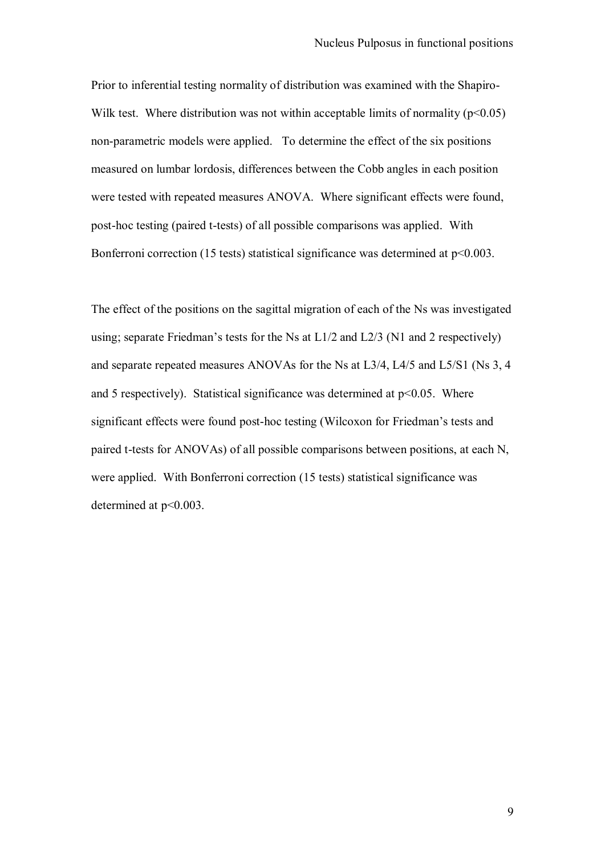Prior to inferential testing normality of distribution was examined with the Shapiro-Wilk test. Where distribution was not within acceptable limits of normality  $(p<0.05)$ non-parametric models were applied. To determine the effect of the six positions measured on lumbar lordosis, differences between the Cobb angles in each position were tested with repeated measures ANOVA. Where significant effects were found, post-hoc testing (paired t-tests) of all possible comparisons was applied. With Bonferroni correction (15 tests) statistical significance was determined at  $p<0.003$ .

The effect of the positions on the sagittal migration of each of the Ns was investigated using; separate Friedman's tests for the Ns at  $L1/2$  and  $L2/3$  (N1 and 2 respectively) and separate repeated measures ANOVAs for the Ns at L3/4, L4/5 and L5/S1 (Ns 3, 4 and 5 respectively). Statistical significance was determined at  $p<0.05$ . Where significant effects were found post-hoc testing (Wilcoxon for Friedman"s tests and paired t-tests for ANOVAs) of all possible comparisons between positions, at each N, were applied. With Bonferroni correction (15 tests) statistical significance was determined at  $p<0.003$ .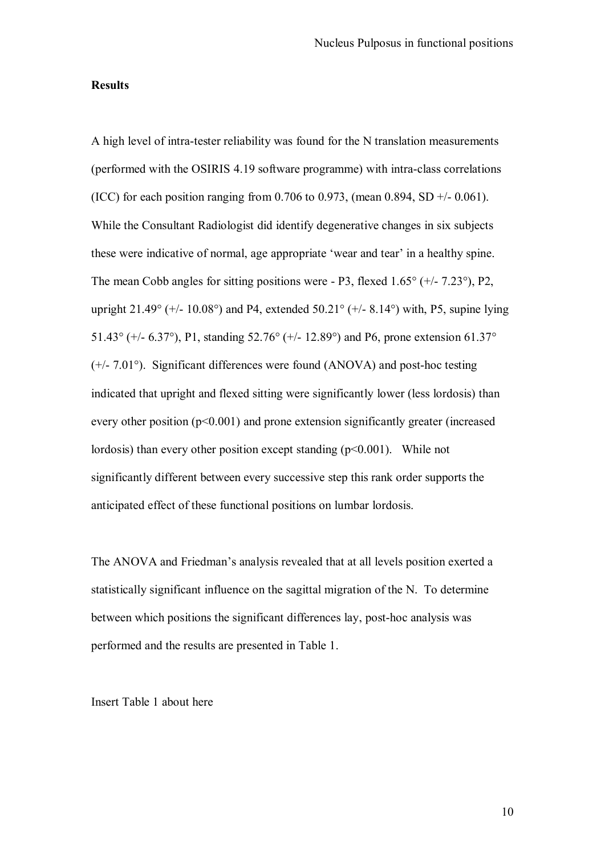#### **Results**

A high level of intra-tester reliability was found for the N translation measurements (performed with the OSIRIS 4.19 software programme) with intra-class correlations (ICC) for each position ranging from 0.706 to 0.973, (mean 0.894, SD +/- 0.061). While the Consultant Radiologist did identify degenerative changes in six subjects these were indicative of normal, age appropriate "wear and tear" in a healthy spine. The mean Cobb angles for sitting positions were - P3, flexed 1.65° (+/- 7.23°), P2, upright 21.49 $^{\circ}$  (+/- 10.08 $^{\circ}$ ) and P4, extended 50.21 $^{\circ}$  (+/- 8.14 $^{\circ}$ ) with, P5, supine lying 51.43° (+/- 6.37°), P1, standing 52.76° (+/- 12.89°) and P6, prone extension 61.37° (+/- 7.01°). Significant differences were found (ANOVA) and post-hoc testing indicated that upright and flexed sitting were significantly lower (less lordosis) than every other position (p<0.001) and prone extension significantly greater (increased lordosis) than every other position except standing  $(p<0.001)$ . While not significantly different between every successive step this rank order supports the anticipated effect of these functional positions on lumbar lordosis.

The ANOVA and Friedman"s analysis revealed that at all levels position exerted a statistically significant influence on the sagittal migration of the N. To determine between which positions the significant differences lay, post-hoc analysis was performed and the results are presented in Table 1.

Insert Table 1 about here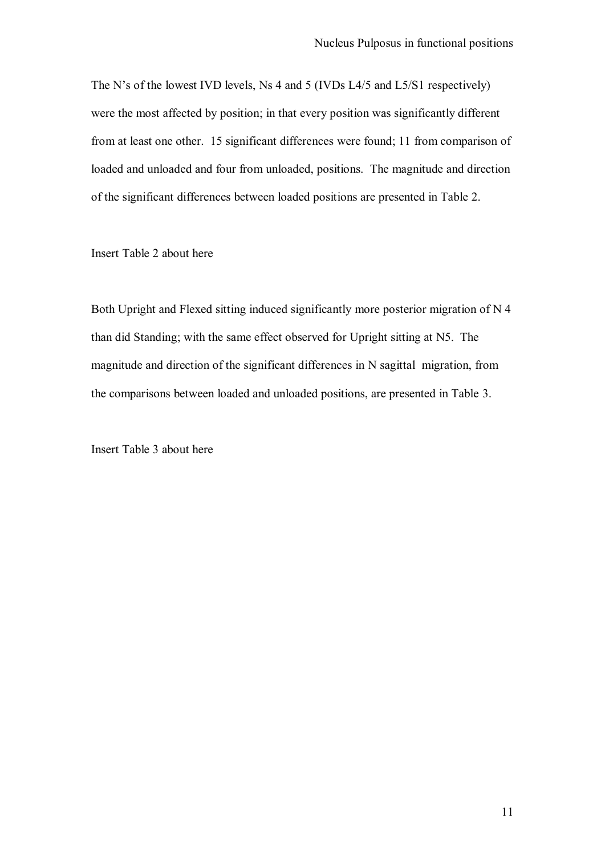The N"s of the lowest IVD levels, Ns 4 and 5 (IVDs L4/5 and L5/S1 respectively) were the most affected by position; in that every position was significantly different from at least one other. 15 significant differences were found; 11 from comparison of loaded and unloaded and four from unloaded, positions. The magnitude and direction of the significant differences between loaded positions are presented in Table 2.

Insert Table 2 about here

Both Upright and Flexed sitting induced significantly more posterior migration of N 4 than did Standing; with the same effect observed for Upright sitting at N5. The magnitude and direction of the significant differences in N sagittal migration, from the comparisons between loaded and unloaded positions, are presented in Table 3.

Insert Table 3 about here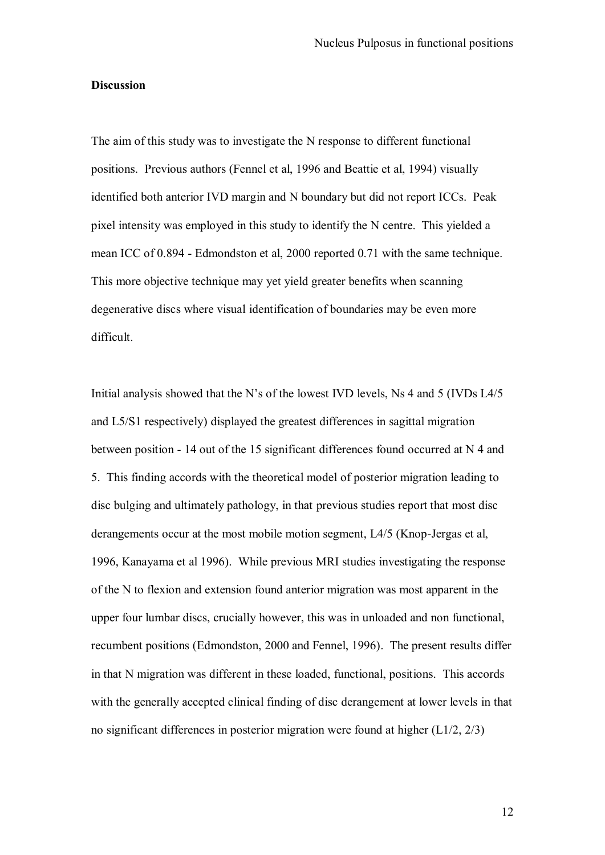### **Discussion**

The aim of this study was to investigate the N response to different functional positions. Previous authors (Fennel et al, 1996 and Beattie et al, 1994) visually identified both anterior IVD margin and N boundary but did not report ICCs. Peak pixel intensity was employed in this study to identify the N centre. This yielded a mean ICC of 0.894 - Edmondston et al, 2000 reported 0.71 with the same technique. This more objective technique may yet yield greater benefits when scanning degenerative discs where visual identification of boundaries may be even more difficult.

Initial analysis showed that the N"s of the lowest IVD levels, Ns 4 and 5 (IVDs L4/5 and L5/S1 respectively) displayed the greatest differences in sagittal migration between position - 14 out of the 15 significant differences found occurred at N 4 and 5. This finding accords with the theoretical model of posterior migration leading to disc bulging and ultimately pathology, in that previous studies report that most disc derangements occur at the most mobile motion segment, L4/5 (Knop-Jergas et al, 1996, Kanayama et al 1996). While previous MRI studies investigating the response of the N to flexion and extension found anterior migration was most apparent in the upper four lumbar discs, crucially however, this was in unloaded and non functional, recumbent positions (Edmondston, 2000 and Fennel, 1996). The present results differ in that N migration was different in these loaded, functional, positions. This accords with the generally accepted clinical finding of disc derangement at lower levels in that no significant differences in posterior migration were found at higher (L1/2, 2/3)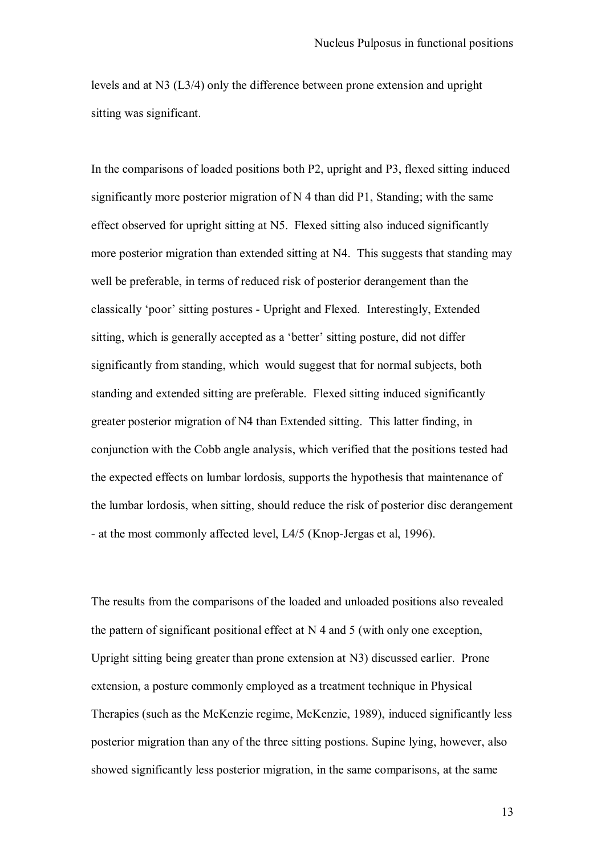levels and at N3 (L3/4) only the difference between prone extension and upright sitting was significant.

In the comparisons of loaded positions both P2, upright and P3, flexed sitting induced significantly more posterior migration of N 4 than did P1, Standing; with the same effect observed for upright sitting at N5. Flexed sitting also induced significantly more posterior migration than extended sitting at N4. This suggests that standing may well be preferable, in terms of reduced risk of posterior derangement than the classically "poor" sitting postures - Upright and Flexed. Interestingly, Extended sitting, which is generally accepted as a 'better' sitting posture, did not differ significantly from standing, which would suggest that for normal subjects, both standing and extended sitting are preferable. Flexed sitting induced significantly greater posterior migration of N4 than Extended sitting. This latter finding, in conjunction with the Cobb angle analysis, which verified that the positions tested had the expected effects on lumbar lordosis, supports the hypothesis that maintenance of the lumbar lordosis, when sitting, should reduce the risk of posterior disc derangement - at the most commonly affected level, L4/5 (Knop-Jergas et al, 1996).

The results from the comparisons of the loaded and unloaded positions also revealed the pattern of significant positional effect at N 4 and 5 (with only one exception, Upright sitting being greater than prone extension at N3) discussed earlier. Prone extension, a posture commonly employed as a treatment technique in Physical Therapies (such as the McKenzie regime, McKenzie, 1989), induced significantly less posterior migration than any of the three sitting postions. Supine lying, however, also showed significantly less posterior migration, in the same comparisons, at the same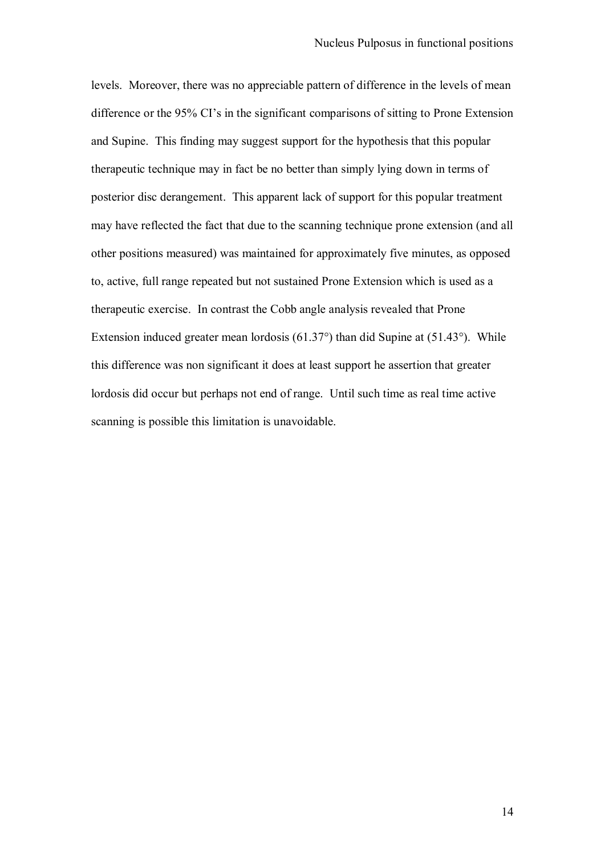levels. Moreover, there was no appreciable pattern of difference in the levels of mean difference or the 95% CI's in the significant comparisons of sitting to Prone Extension and Supine. This finding may suggest support for the hypothesis that this popular therapeutic technique may in fact be no better than simply lying down in terms of posterior disc derangement. This apparent lack of support for this popular treatment may have reflected the fact that due to the scanning technique prone extension (and all other positions measured) was maintained for approximately five minutes, as opposed to, active, full range repeated but not sustained Prone Extension which is used as a therapeutic exercise. In contrast the Cobb angle analysis revealed that Prone Extension induced greater mean lordosis (61.37°) than did Supine at (51.43°). While this difference was non significant it does at least support he assertion that greater lordosis did occur but perhaps not end of range. Until such time as real time active scanning is possible this limitation is unavoidable.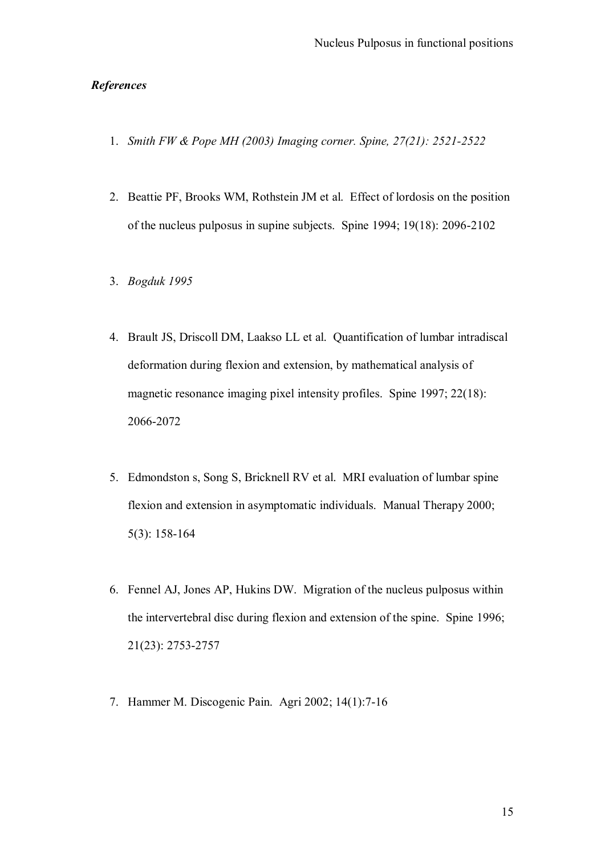# *References*

- 1. *Smith FW & Pope MH (2003) Imaging corner. Spine, 27(21): 2521-2522*
- 2. Beattie PF, Brooks WM, Rothstein JM et al. Effect of lordosis on the position of the nucleus pulposus in supine subjects. Spine 1994; 19(18): 2096-2102
- 3. *Bogduk 1995*
- 4. Brault JS, Driscoll DM, Laakso LL et al. Quantification of lumbar intradiscal deformation during flexion and extension, by mathematical analysis of magnetic resonance imaging pixel intensity profiles. Spine 1997; 22(18): 2066-2072
- 5. Edmondston s, Song S, Bricknell RV et al. MRI evaluation of lumbar spine flexion and extension in asymptomatic individuals. Manual Therapy 2000; 5(3): 158-164
- 6. Fennel AJ, Jones AP, Hukins DW. Migration of the nucleus pulposus within the intervertebral disc during flexion and extension of the spine. Spine 1996; 21(23): 2753-2757
- 7. Hammer M. Discogenic Pain. Agri 2002; 14(1):7-16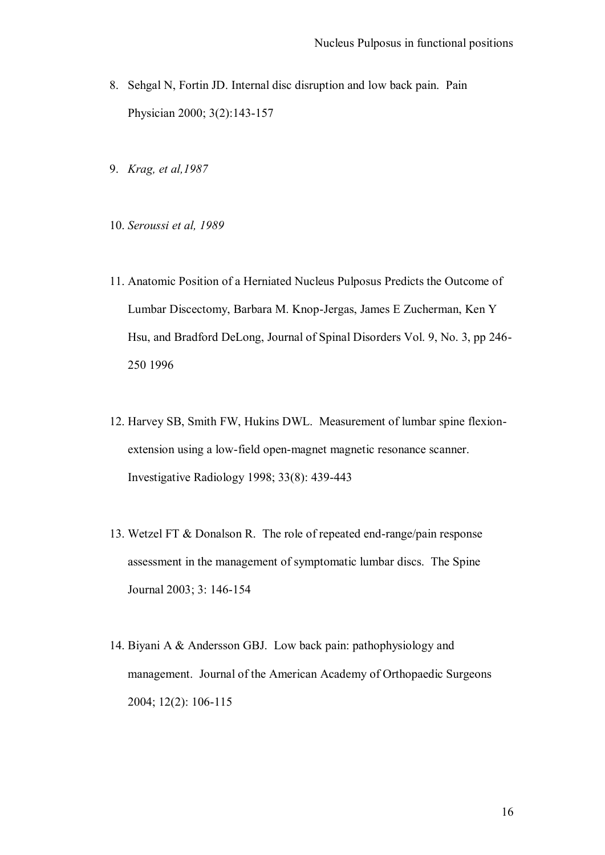- 8. Sehgal N, Fortin JD. Internal disc disruption and low back pain. Pain Physician 2000; 3(2):143-157
- 9. *Krag, et al,1987*
- 10. *Seroussi et al, 1989*
- 11. Anatomic Position of a Herniated Nucleus Pulposus Predicts the Outcome of Lumbar Discectomy, Barbara M. Knop-Jergas, James E Zucherman, Ken Y Hsu, and Bradford DeLong, Journal of Spinal Disorders Vol. 9, No. 3, pp 246- 250 1996
- 12. Harvey SB, Smith FW, Hukins DWL. Measurement of lumbar spine flexionextension using a low-field open-magnet magnetic resonance scanner. Investigative Radiology 1998; 33(8): 439-443
- 13. Wetzel FT & Donalson R. The role of repeated end-range/pain response assessment in the management of symptomatic lumbar discs. The Spine Journal 2003; 3: 146-154
- 14. Biyani A & Andersson GBJ. Low back pain: pathophysiology and management. Journal of the American Academy of Orthopaedic Surgeons 2004; 12(2): 106-115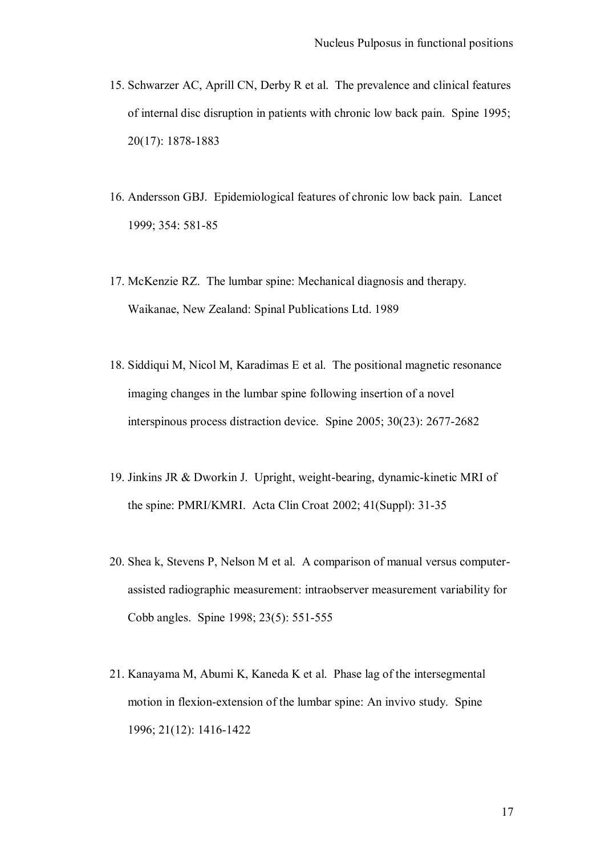- 15. Schwarzer AC, Aprill CN, Derby R et al. The prevalence and clinical features of internal disc disruption in patients with chronic low back pain. Spine 1995; 20(17): 1878-1883
- 16. Andersson GBJ. Epidemiological features of chronic low back pain. Lancet 1999; 354: 581-85
- 17. McKenzie RZ. The lumbar spine: Mechanical diagnosis and therapy. Waikanae, New Zealand: Spinal Publications Ltd. 1989
- 18. Siddiqui M, Nicol M, Karadimas E et al. The positional magnetic resonance imaging changes in the lumbar spine following insertion of a novel interspinous process distraction device. Spine 2005; 30(23): 2677-2682
- 19. Jinkins JR & Dworkin J. Upright, weight-bearing, dynamic-kinetic MRI of the spine: PMRI/KMRI. Acta Clin Croat 2002; 41(Suppl): 31-35
- 20. Shea k, Stevens P, Nelson M et al. A comparison of manual versus computerassisted radiographic measurement: intraobserver measurement variability for Cobb angles. Spine 1998; 23(5): 551-555
- 21. Kanayama M, Abumi K, Kaneda K et al. Phase lag of the intersegmental motion in flexion-extension of the lumbar spine: An invivo study. Spine 1996; 21(12): 1416-1422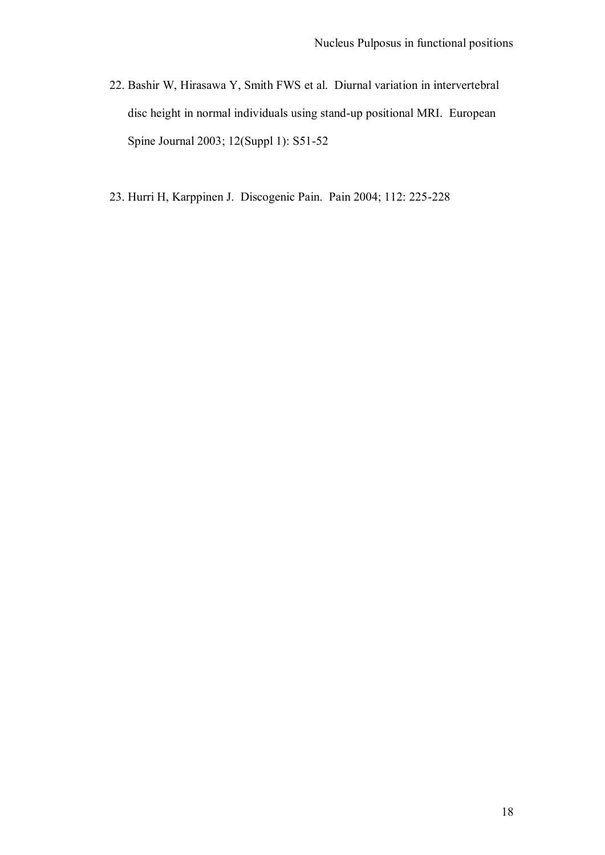- 22. Bashir W, Hirasawa Y, Smith FWS et al. Diurnal variation in intervertebral disc height in normal individuals using stand-up positional MRI. European Spine Journal 2003; 12(Suppl 1): S51-52
- 23. Hurri H, Karppinen J. Discogenic Pain. Pain 2004; 112: 225-228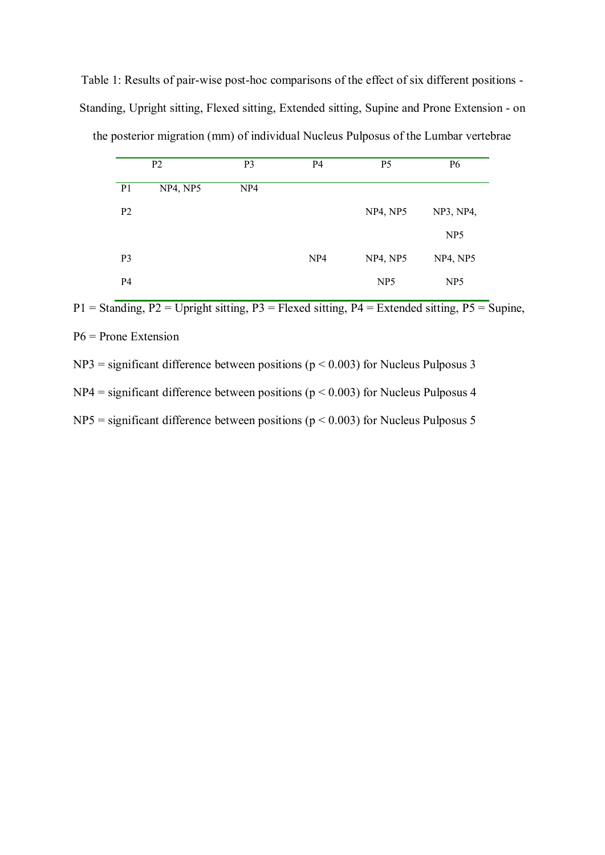Table 1: Results of pair-wise post-hoc comparisons of the effect of six different positions - Standing, Upright sitting, Flexed sitting, Extended sitting, Supine and Prone Extension - on the posterior migration (mm) of individual Nucleus Pulposus of the Lumbar vertebrae

|                | P <sub>2</sub> | P <sub>3</sub>  | P <sub>4</sub>  | P <sub>5</sub>  | <b>P6</b>       |
|----------------|----------------|-----------------|-----------------|-----------------|-----------------|
| P <sub>1</sub> | NP4, NP5       | NP <sub>4</sub> |                 |                 |                 |
| P <sub>2</sub> |                |                 |                 | NP4, NP5        | NP3, NP4,       |
|                |                |                 |                 |                 | NP <sub>5</sub> |
| P <sub>3</sub> |                |                 | NP <sub>4</sub> | NP4, NP5        | NP4, NP5        |
| P <sub>4</sub> |                |                 |                 | NP <sub>5</sub> | NP <sub>5</sub> |

 $P1 =$  Standing,  $P2 =$  Upright sitting,  $P3 =$  Flexed sitting,  $P4 =$  Extended sitting,  $P5 =$  Supine, P6 = Prone Extension

 $NP3$  = significant difference between positions ( $p < 0.003$ ) for Nucleus Pulposus 3

 $NP4$  = significant difference between positions ( $p < 0.003$ ) for Nucleus Pulposus 4

 $NP5$  = significant difference between positions ( $p < 0.003$ ) for Nucleus Pulposus 5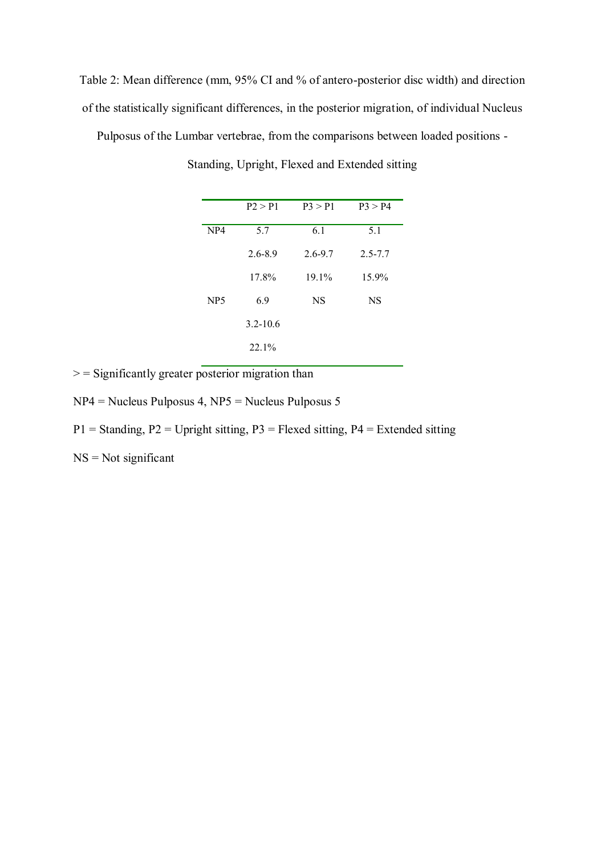Table 2: Mean difference (mm, 95% CI and % of antero-posterior disc width) and direction of the statistically significant differences, in the posterior migration, of individual Nucleus

Pulposus of the Lumbar vertebrae, from the comparisons between loaded positions -

|                 | P2 > P1      | P3 > P1     | $P_3 > P_4$ |
|-----------------|--------------|-------------|-------------|
| NP <sub>4</sub> | 5.7          | 6.1         | 5.1         |
|                 | $2.6 - 8.9$  | $2.6 - 9.7$ | $2.5 - 7.7$ |
|                 | 17.8%        | $19.1\%$    | 15.9%       |
| NP <sub>5</sub> | 6.9          | <b>NS</b>   | NS          |
|                 | $3.2 - 10.6$ |             |             |
|                 | 22.1%        |             |             |

Standing, Upright, Flexed and Extended sitting

 $>$  = Significantly greater posterior migration than

NP4 = Nucleus Pulposus 4, NP5 = Nucleus Pulposus 5

 $P1 =$  Standing,  $P2 =$  Upright sitting,  $P3 =$  Flexed sitting,  $P4 =$  Extended sitting

 $NS = Not$  significant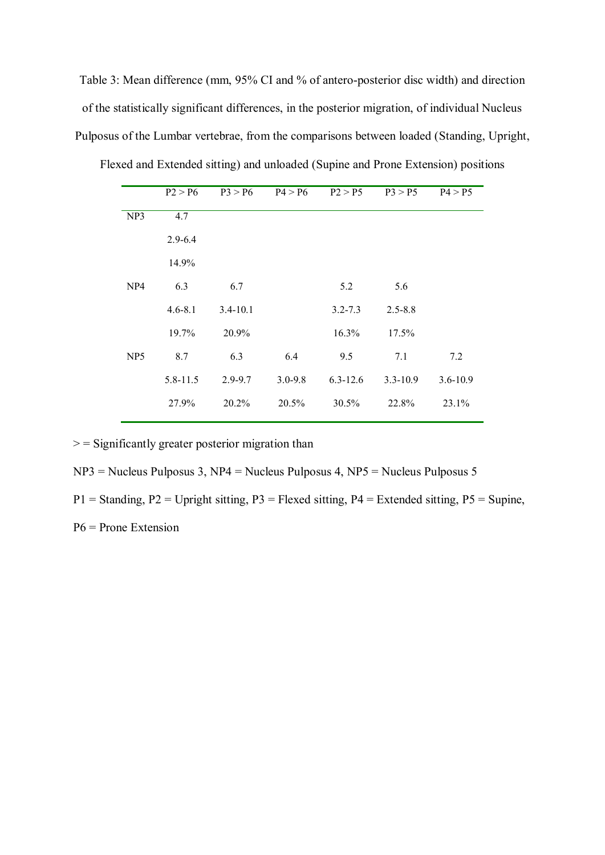Table 3: Mean difference (mm, 95% CI and % of antero-posterior disc width) and direction of the statistically significant differences, in the posterior migration, of individual Nucleus Pulposus of the Lumbar vertebrae, from the comparisons between loaded (Standing, Upright, Flexed and Extended sitting) and unloaded (Supine and Prone Extension) positions

|                 | P2 > P6      | P3 > P6      | P4 > P6     | P2 > P5      | P3 > P5      | P4 > P5      |
|-----------------|--------------|--------------|-------------|--------------|--------------|--------------|
| NP3             | 4.7          |              |             |              |              |              |
|                 | $2.9 - 6.4$  |              |             |              |              |              |
|                 | 14.9%        |              |             |              |              |              |
| NP <sub>4</sub> | 6.3          | 6.7          |             | 5.2          | 5.6          |              |
|                 | $4.6 - 8.1$  | $3.4 - 10.1$ |             | $3.2 - 7.3$  | $2.5 - 8.8$  |              |
|                 | 19.7%        | 20.9%        |             | 16.3%        | 17.5%        |              |
| NP <sub>5</sub> | 8.7          | 6.3          | 6.4         | 9.5          | 7.1          | 7.2          |
|                 | $5.8 - 11.5$ | $2.9 - 9.7$  | $3.0 - 9.8$ | $6.3 - 12.6$ | $3.3 - 10.9$ | $3.6 - 10.9$ |
|                 | 27.9%        | 20.2%        | 20.5%       | 30.5%        | 22.8%        | 23.1%        |
|                 |              |              |             |              |              |              |

 $\ge$  = Significantly greater posterior migration than

NP3 = Nucleus Pulposus 3, NP4 = Nucleus Pulposus 4, NP5 = Nucleus Pulposus 5

 $P1 =$  Standing,  $P2 =$  Upright sitting,  $P3 =$  Flexed sitting,  $P4 =$  Extended sitting,  $P5 =$  Supine,

P6 = Prone Extension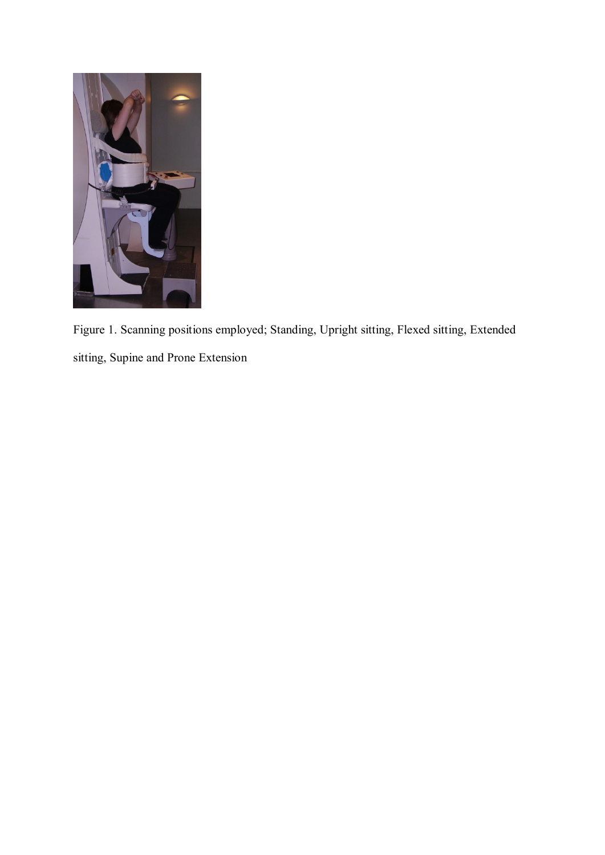

Figure 1. Scanning positions employed; Standing, Upright sitting, Flexed sitting, Extended sitting, Supine and Prone Extension